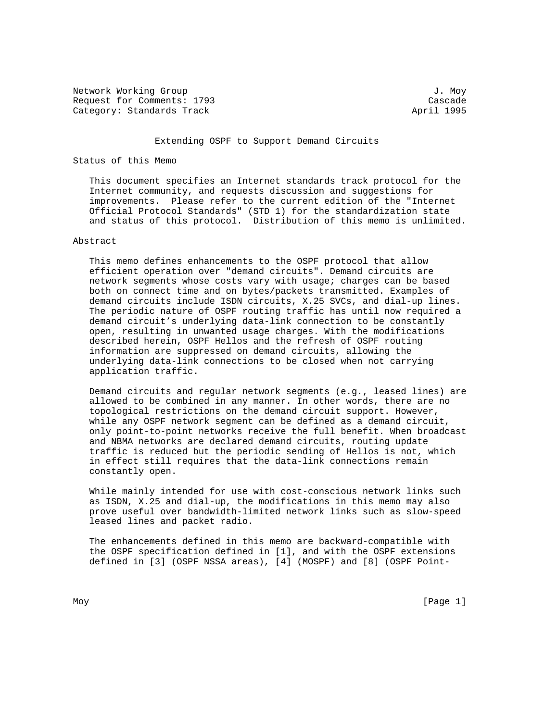Network Working Group 3. November 2012 1. November 2013 Request for Comments: 1793 Cascade Category: Standards Track

#### Extending OSPF to Support Demand Circuits

# Status of this Memo

 This document specifies an Internet standards track protocol for the Internet community, and requests discussion and suggestions for improvements. Please refer to the current edition of the "Internet Official Protocol Standards" (STD 1) for the standardization state and status of this protocol. Distribution of this memo is unlimited.

### Abstract

 This memo defines enhancements to the OSPF protocol that allow efficient operation over "demand circuits". Demand circuits are network segments whose costs vary with usage; charges can be based both on connect time and on bytes/packets transmitted. Examples of demand circuits include ISDN circuits, X.25 SVCs, and dial-up lines. The periodic nature of OSPF routing traffic has until now required a demand circuit's underlying data-link connection to be constantly open, resulting in unwanted usage charges. With the modifications described herein, OSPF Hellos and the refresh of OSPF routing information are suppressed on demand circuits, allowing the underlying data-link connections to be closed when not carrying application traffic.

 Demand circuits and regular network segments (e.g., leased lines) are allowed to be combined in any manner. In other words, there are no topological restrictions on the demand circuit support. However, while any OSPF network segment can be defined as a demand circuit, only point-to-point networks receive the full benefit. When broadcast and NBMA networks are declared demand circuits, routing update traffic is reduced but the periodic sending of Hellos is not, which in effect still requires that the data-link connections remain constantly open.

 While mainly intended for use with cost-conscious network links such as ISDN, X.25 and dial-up, the modifications in this memo may also prove useful over bandwidth-limited network links such as slow-speed leased lines and packet radio.

 The enhancements defined in this memo are backward-compatible with the OSPF specification defined in [1], and with the OSPF extensions defined in [3] (OSPF NSSA areas), [4] (MOSPF) and [8] (OSPF Point-

Moy [Page 1]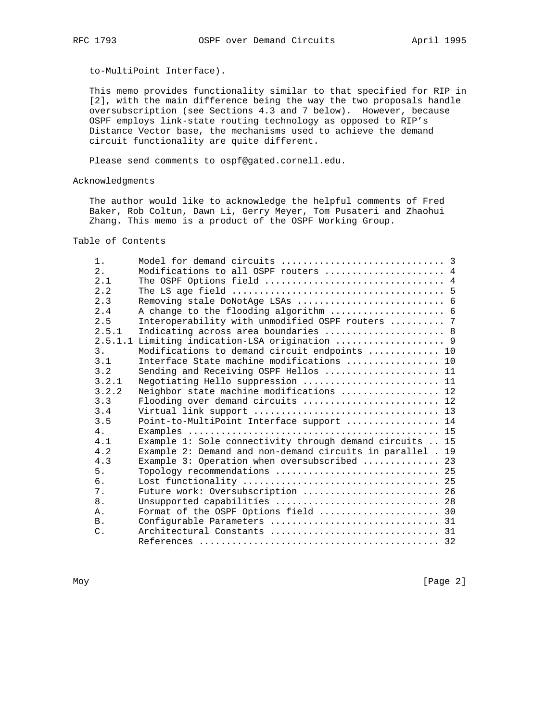to-MultiPoint Interface).

 This memo provides functionality similar to that specified for RIP in [2], with the main difference being the way the two proposals handle oversubscription (see Sections 4.3 and 7 below). However, because OSPF employs link-state routing technology as opposed to RIP's Distance Vector base, the mechanisms used to achieve the demand circuit functionality are quite different.

Please send comments to ospf@gated.cornell.edu.

# Acknowledgments

 The author would like to acknowledge the helpful comments of Fred Baker, Rob Coltun, Dawn Li, Gerry Meyer, Tom Pusateri and Zhaohui Zhang. This memo is a product of the OSPF Working Group.

# Table of Contents

| $1$ .          |                                                            |  |
|----------------|------------------------------------------------------------|--|
| 2.             | Modifications to all OSPF routers  4                       |  |
| 2.1            |                                                            |  |
| 2.2            |                                                            |  |
| 2.3            |                                                            |  |
| 2.4            |                                                            |  |
| 2.5            | Interoperability with unmodified OSPF routers  7           |  |
| 2.5.1          | Indicating across area boundaries  8                       |  |
|                | 2.5.1.1 Limiting indication-LSA origination  9             |  |
| 3.             | Modifications to demand circuit endpoints  10              |  |
| 3.1            | Interface State machine modifications  10                  |  |
| 3.2            | Sending and Receiving OSPF Hellos  11                      |  |
| 3.2.1          | Negotiating Hello suppression  11                          |  |
| 3.2.2          | Neighbor state machine modifications  12                   |  |
| 3.3            | Flooding over demand circuits  12                          |  |
| 3.4            |                                                            |  |
| 3.5            | Point-to-MultiPoint Interface support  14                  |  |
| 4.             |                                                            |  |
| 4.1            | Example 1: Sole connectivity through demand circuits  15   |  |
| 4.2            | Example 2: Demand and non-demand circuits in parallel . 19 |  |
| 4.3            | Example 3: Operation when oversubscribed  23               |  |
| 5.             | Topology recommendations  25                               |  |
| б.             |                                                            |  |
| 7.             | Future work: Oversubscription  26                          |  |
| 8.             | Unsupported capabilities  28                               |  |
| Α.             | Format of the OSPF Options field  30                       |  |
| <b>B</b> .     |                                                            |  |
| $\mathsf{C}$ . |                                                            |  |
|                |                                                            |  |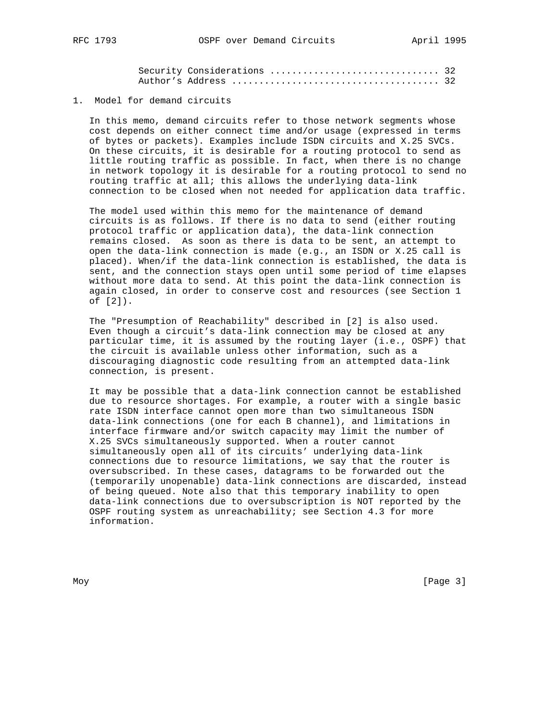## 1. Model for demand circuits

 In this memo, demand circuits refer to those network segments whose cost depends on either connect time and/or usage (expressed in terms of bytes or packets). Examples include ISDN circuits and X.25 SVCs. On these circuits, it is desirable for a routing protocol to send as little routing traffic as possible. In fact, when there is no change in network topology it is desirable for a routing protocol to send no routing traffic at all; this allows the underlying data-link connection to be closed when not needed for application data traffic.

 The model used within this memo for the maintenance of demand circuits is as follows. If there is no data to send (either routing protocol traffic or application data), the data-link connection remains closed. As soon as there is data to be sent, an attempt to open the data-link connection is made (e.g., an ISDN or X.25 call is placed). When/if the data-link connection is established, the data is sent, and the connection stays open until some period of time elapses without more data to send. At this point the data-link connection is again closed, in order to conserve cost and resources (see Section 1 of [2]).

 The "Presumption of Reachability" described in [2] is also used. Even though a circuit's data-link connection may be closed at any particular time, it is assumed by the routing layer (i.e., OSPF) that the circuit is available unless other information, such as a discouraging diagnostic code resulting from an attempted data-link connection, is present.

 It may be possible that a data-link connection cannot be established due to resource shortages. For example, a router with a single basic rate ISDN interface cannot open more than two simultaneous ISDN data-link connections (one for each B channel), and limitations in interface firmware and/or switch capacity may limit the number of X.25 SVCs simultaneously supported. When a router cannot simultaneously open all of its circuits' underlying data-link connections due to resource limitations, we say that the router is oversubscribed. In these cases, datagrams to be forwarded out the (temporarily unopenable) data-link connections are discarded, instead of being queued. Note also that this temporary inability to open data-link connections due to oversubscription is NOT reported by the OSPF routing system as unreachability; see Section 4.3 for more information.

Moy [Page 3]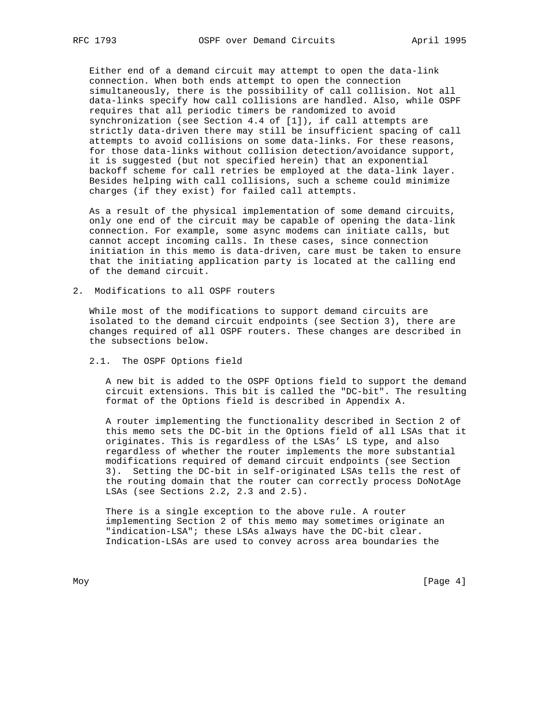Either end of a demand circuit may attempt to open the data-link connection. When both ends attempt to open the connection simultaneously, there is the possibility of call collision. Not all data-links specify how call collisions are handled. Also, while OSPF requires that all periodic timers be randomized to avoid synchronization (see Section 4.4 of [1]), if call attempts are strictly data-driven there may still be insufficient spacing of call attempts to avoid collisions on some data-links. For these reasons, for those data-links without collision detection/avoidance support, it is suggested (but not specified herein) that an exponential backoff scheme for call retries be employed at the data-link layer. Besides helping with call collisions, such a scheme could minimize charges (if they exist) for failed call attempts.

 As a result of the physical implementation of some demand circuits, only one end of the circuit may be capable of opening the data-link connection. For example, some async modems can initiate calls, but cannot accept incoming calls. In these cases, since connection initiation in this memo is data-driven, care must be taken to ensure that the initiating application party is located at the calling end of the demand circuit.

2. Modifications to all OSPF routers

 While most of the modifications to support demand circuits are isolated to the demand circuit endpoints (see Section 3), there are changes required of all OSPF routers. These changes are described in the subsections below.

2.1. The OSPF Options field

 A new bit is added to the OSPF Options field to support the demand circuit extensions. This bit is called the "DC-bit". The resulting format of the Options field is described in Appendix A.

 A router implementing the functionality described in Section 2 of this memo sets the DC-bit in the Options field of all LSAs that it originates. This is regardless of the LSAs' LS type, and also regardless of whether the router implements the more substantial modifications required of demand circuit endpoints (see Section 3). Setting the DC-bit in self-originated LSAs tells the rest of the routing domain that the router can correctly process DoNotAge LSAs (see Sections 2.2, 2.3 and 2.5).

 There is a single exception to the above rule. A router implementing Section 2 of this memo may sometimes originate an "indication-LSA"; these LSAs always have the DC-bit clear. Indication-LSAs are used to convey across area boundaries the

Moy [Page 4]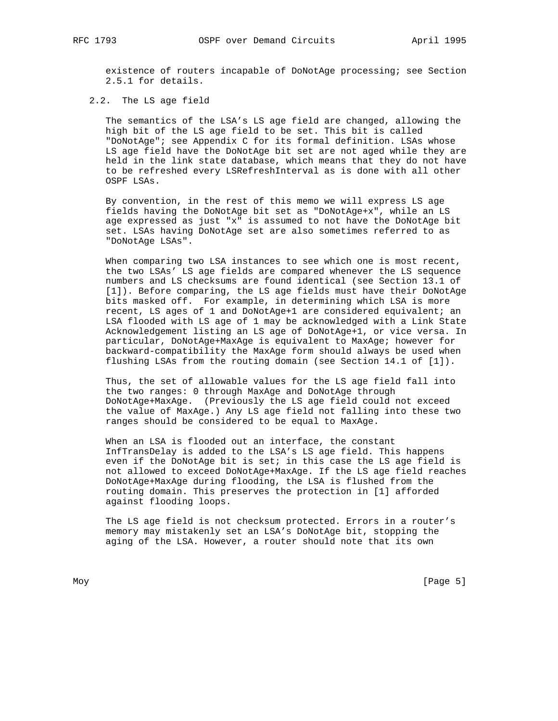existence of routers incapable of DoNotAge processing; see Section 2.5.1 for details.

# 2.2. The LS age field

 The semantics of the LSA's LS age field are changed, allowing the high bit of the LS age field to be set. This bit is called "DoNotAge"; see Appendix C for its formal definition. LSAs whose LS age field have the DoNotAge bit set are not aged while they are held in the link state database, which means that they do not have to be refreshed every LSRefreshInterval as is done with all other OSPF LSAs.

 By convention, in the rest of this memo we will express LS age fields having the DoNotAge bit set as "DoNotAge+x", while an LS age expressed as just "x" is assumed to not have the DoNotAge bit set. LSAs having DoNotAge set are also sometimes referred to as "DoNotAge LSAs".

 When comparing two LSA instances to see which one is most recent, the two LSAs' LS age fields are compared whenever the LS sequence numbers and LS checksums are found identical (see Section 13.1 of [1]). Before comparing, the LS age fields must have their DoNotAge bits masked off. For example, in determining which LSA is more recent, LS ages of 1 and DoNotAge+1 are considered equivalent; an LSA flooded with LS age of 1 may be acknowledged with a Link State Acknowledgement listing an LS age of DoNotAge+1, or vice versa. In particular, DoNotAge+MaxAge is equivalent to MaxAge; however for backward-compatibility the MaxAge form should always be used when flushing LSAs from the routing domain (see Section 14.1 of [1]).

 Thus, the set of allowable values for the LS age field fall into the two ranges: 0 through MaxAge and DoNotAge through DoNotAge+MaxAge. (Previously the LS age field could not exceed the value of MaxAge.) Any LS age field not falling into these two ranges should be considered to be equal to MaxAge.

 When an LSA is flooded out an interface, the constant InfTransDelay is added to the LSA's LS age field. This happens even if the DoNotAge bit is set; in this case the LS age field is not allowed to exceed DoNotAge+MaxAge. If the LS age field reaches DoNotAge+MaxAge during flooding, the LSA is flushed from the routing domain. This preserves the protection in [1] afforded against flooding loops.

 The LS age field is not checksum protected. Errors in a router's memory may mistakenly set an LSA's DoNotAge bit, stopping the aging of the LSA. However, a router should note that its own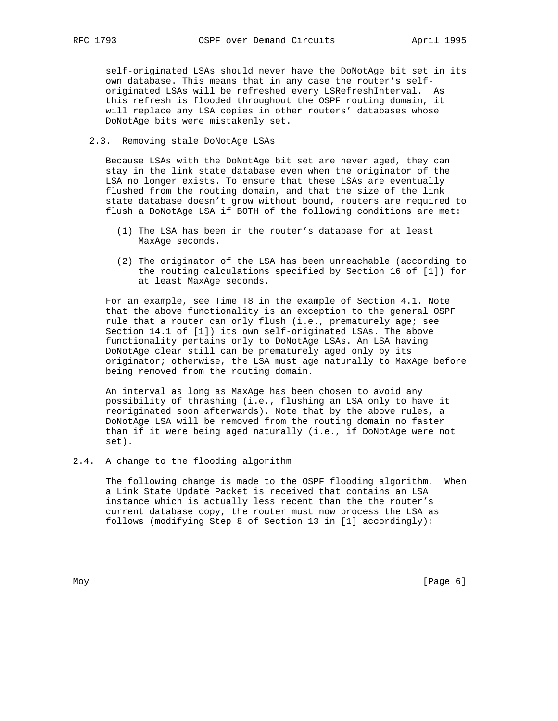self-originated LSAs should never have the DoNotAge bit set in its own database. This means that in any case the router's self originated LSAs will be refreshed every LSRefreshInterval. As this refresh is flooded throughout the OSPF routing domain, it will replace any LSA copies in other routers' databases whose DoNotAge bits were mistakenly set.

# 2.3. Removing stale DoNotAge LSAs

 Because LSAs with the DoNotAge bit set are never aged, they can stay in the link state database even when the originator of the LSA no longer exists. To ensure that these LSAs are eventually flushed from the routing domain, and that the size of the link state database doesn't grow without bound, routers are required to flush a DoNotAge LSA if BOTH of the following conditions are met:

- (1) The LSA has been in the router's database for at least MaxAge seconds.
- (2) The originator of the LSA has been unreachable (according to the routing calculations specified by Section 16 of [1]) for at least MaxAge seconds.

 For an example, see Time T8 in the example of Section 4.1. Note that the above functionality is an exception to the general OSPF rule that a router can only flush (i.e., prematurely age; see Section 14.1 of [1]) its own self-originated LSAs. The above functionality pertains only to DoNotAge LSAs. An LSA having DoNotAge clear still can be prematurely aged only by its originator; otherwise, the LSA must age naturally to MaxAge before being removed from the routing domain.

 An interval as long as MaxAge has been chosen to avoid any possibility of thrashing (i.e., flushing an LSA only to have it reoriginated soon afterwards). Note that by the above rules, a DoNotAge LSA will be removed from the routing domain no faster than if it were being aged naturally (i.e., if DoNotAge were not set).

2.4. A change to the flooding algorithm

 The following change is made to the OSPF flooding algorithm. When a Link State Update Packet is received that contains an LSA instance which is actually less recent than the the router's current database copy, the router must now process the LSA as follows (modifying Step 8 of Section 13 in [1] accordingly):

Moy [Page 6]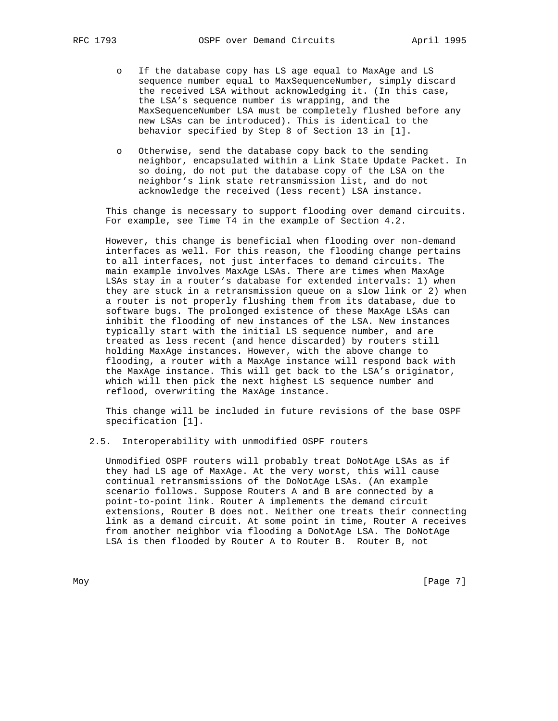- o If the database copy has LS age equal to MaxAge and LS sequence number equal to MaxSequenceNumber, simply discard the received LSA without acknowledging it. (In this case, the LSA's sequence number is wrapping, and the MaxSequenceNumber LSA must be completely flushed before any new LSAs can be introduced). This is identical to the behavior specified by Step 8 of Section 13 in [1].
- o Otherwise, send the database copy back to the sending neighbor, encapsulated within a Link State Update Packet. In so doing, do not put the database copy of the LSA on the neighbor's link state retransmission list, and do not acknowledge the received (less recent) LSA instance.

 This change is necessary to support flooding over demand circuits. For example, see Time T4 in the example of Section 4.2.

 However, this change is beneficial when flooding over non-demand interfaces as well. For this reason, the flooding change pertains to all interfaces, not just interfaces to demand circuits. The main example involves MaxAge LSAs. There are times when MaxAge LSAs stay in a router's database for extended intervals: 1) when they are stuck in a retransmission queue on a slow link or 2) when a router is not properly flushing them from its database, due to software bugs. The prolonged existence of these MaxAge LSAs can inhibit the flooding of new instances of the LSA. New instances typically start with the initial LS sequence number, and are treated as less recent (and hence discarded) by routers still holding MaxAge instances. However, with the above change to flooding, a router with a MaxAge instance will respond back with the MaxAge instance. This will get back to the LSA's originator, which will then pick the next highest LS sequence number and reflood, overwriting the MaxAge instance.

 This change will be included in future revisions of the base OSPF specification [1].

### 2.5. Interoperability with unmodified OSPF routers

 Unmodified OSPF routers will probably treat DoNotAge LSAs as if they had LS age of MaxAge. At the very worst, this will cause continual retransmissions of the DoNotAge LSAs. (An example scenario follows. Suppose Routers A and B are connected by a point-to-point link. Router A implements the demand circuit extensions, Router B does not. Neither one treats their connecting link as a demand circuit. At some point in time, Router A receives from another neighbor via flooding a DoNotAge LSA. The DoNotAge LSA is then flooded by Router A to Router B. Router B, not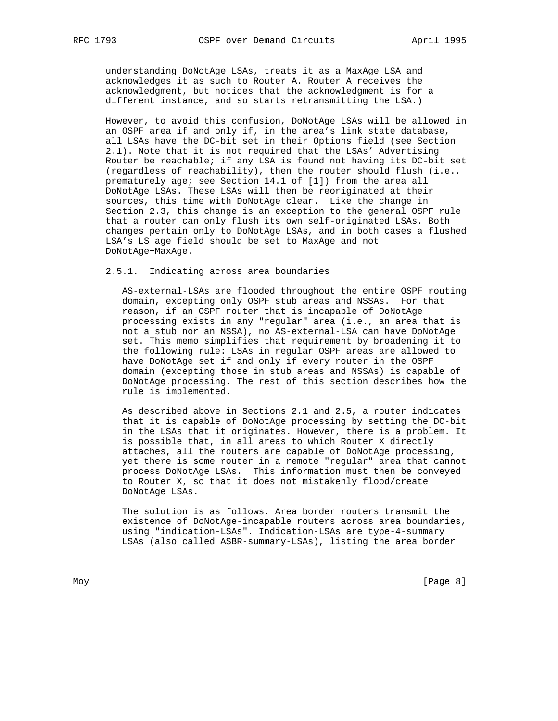understanding DoNotAge LSAs, treats it as a MaxAge LSA and acknowledges it as such to Router A. Router A receives the acknowledgment, but notices that the acknowledgment is for a different instance, and so starts retransmitting the LSA.)

 However, to avoid this confusion, DoNotAge LSAs will be allowed in an OSPF area if and only if, in the area's link state database, all LSAs have the DC-bit set in their Options field (see Section 2.1). Note that it is not required that the LSAs' Advertising Router be reachable; if any LSA is found not having its DC-bit set (regardless of reachability), then the router should flush (i.e., prematurely age; see Section 14.1 of [1]) from the area all DoNotAge LSAs. These LSAs will then be reoriginated at their sources, this time with DoNotAge clear. Like the change in Section 2.3, this change is an exception to the general OSPF rule that a router can only flush its own self-originated LSAs. Both changes pertain only to DoNotAge LSAs, and in both cases a flushed LSA's LS age field should be set to MaxAge and not DoNotAge+MaxAge.

2.5.1. Indicating across area boundaries

 AS-external-LSAs are flooded throughout the entire OSPF routing domain, excepting only OSPF stub areas and NSSAs. For that reason, if an OSPF router that is incapable of DoNotAge processing exists in any "regular" area (i.e., an area that is not a stub nor an NSSA), no AS-external-LSA can have DoNotAge set. This memo simplifies that requirement by broadening it to the following rule: LSAs in regular OSPF areas are allowed to have DoNotAge set if and only if every router in the OSPF domain (excepting those in stub areas and NSSAs) is capable of DoNotAge processing. The rest of this section describes how the rule is implemented.

 As described above in Sections 2.1 and 2.5, a router indicates that it is capable of DoNotAge processing by setting the DC-bit in the LSAs that it originates. However, there is a problem. It is possible that, in all areas to which Router X directly attaches, all the routers are capable of DoNotAge processing, yet there is some router in a remote "regular" area that cannot process DoNotAge LSAs. This information must then be conveyed to Router X, so that it does not mistakenly flood/create DoNotAge LSAs.

 The solution is as follows. Area border routers transmit the existence of DoNotAge-incapable routers across area boundaries, using "indication-LSAs". Indication-LSAs are type-4-summary LSAs (also called ASBR-summary-LSAs), listing the area border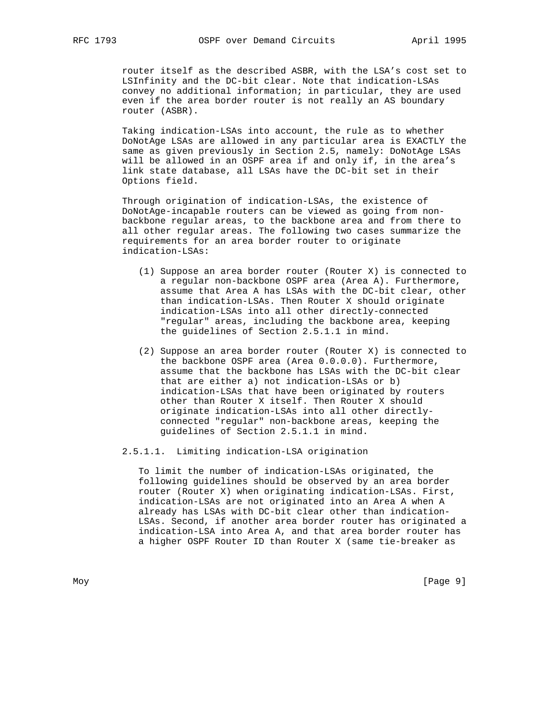router itself as the described ASBR, with the LSA's cost set to LSInfinity and the DC-bit clear. Note that indication-LSAs convey no additional information; in particular, they are used even if the area border router is not really an AS boundary router (ASBR).

 Taking indication-LSAs into account, the rule as to whether DoNotAge LSAs are allowed in any particular area is EXACTLY the same as given previously in Section 2.5, namely: DoNotAge LSAs will be allowed in an OSPF area if and only if, in the area's link state database, all LSAs have the DC-bit set in their Options field.

 Through origination of indication-LSAs, the existence of DoNotAge-incapable routers can be viewed as going from non backbone regular areas, to the backbone area and from there to all other regular areas. The following two cases summarize the requirements for an area border router to originate indication-LSAs:

- (1) Suppose an area border router (Router X) is connected to a regular non-backbone OSPF area (Area A). Furthermore, assume that Area A has LSAs with the DC-bit clear, other than indication-LSAs. Then Router X should originate indication-LSAs into all other directly-connected "regular" areas, including the backbone area, keeping the guidelines of Section 2.5.1.1 in mind.
- (2) Suppose an area border router (Router X) is connected to the backbone OSPF area (Area 0.0.0.0). Furthermore, assume that the backbone has LSAs with the DC-bit clear that are either a) not indication-LSAs or b) indication-LSAs that have been originated by routers other than Router X itself. Then Router X should originate indication-LSAs into all other directly connected "regular" non-backbone areas, keeping the guidelines of Section 2.5.1.1 in mind.

# 2.5.1.1. Limiting indication-LSA origination

 To limit the number of indication-LSAs originated, the following guidelines should be observed by an area border router (Router X) when originating indication-LSAs. First, indication-LSAs are not originated into an Area A when A already has LSAs with DC-bit clear other than indication- LSAs. Second, if another area border router has originated a indication-LSA into Area A, and that area border router has a higher OSPF Router ID than Router X (same tie-breaker as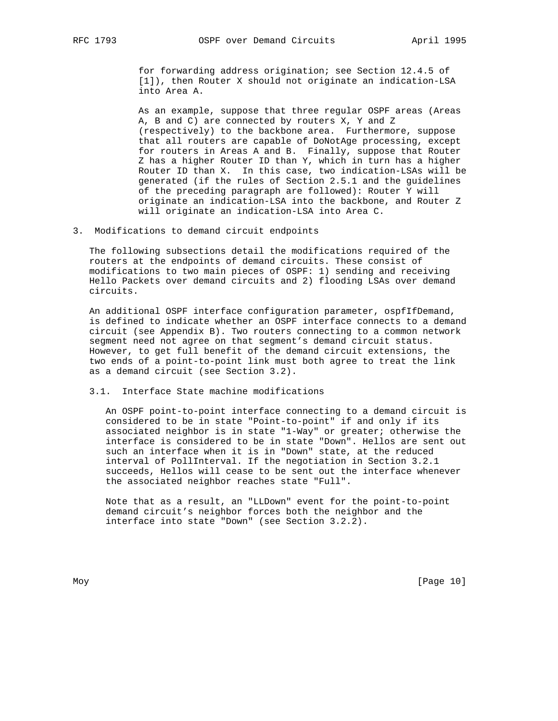for forwarding address origination; see Section 12.4.5 of [1]), then Router X should not originate an indication-LSA into Area A.

 As an example, suppose that three regular OSPF areas (Areas A, B and C) are connected by routers X, Y and Z (respectively) to the backbone area. Furthermore, suppose that all routers are capable of DoNotAge processing, except for routers in Areas A and B. Finally, suppose that Router Z has a higher Router ID than Y, which in turn has a higher Router ID than X. In this case, two indication-LSAs will be generated (if the rules of Section 2.5.1 and the guidelines of the preceding paragraph are followed): Router Y will originate an indication-LSA into the backbone, and Router Z will originate an indication-LSA into Area C.

3. Modifications to demand circuit endpoints

 The following subsections detail the modifications required of the routers at the endpoints of demand circuits. These consist of modifications to two main pieces of OSPF: 1) sending and receiving Hello Packets over demand circuits and 2) flooding LSAs over demand circuits.

 An additional OSPF interface configuration parameter, ospfIfDemand, is defined to indicate whether an OSPF interface connects to a demand circuit (see Appendix B). Two routers connecting to a common network segment need not agree on that segment's demand circuit status. However, to get full benefit of the demand circuit extensions, the two ends of a point-to-point link must both agree to treat the link as a demand circuit (see Section 3.2).

3.1. Interface State machine modifications

 An OSPF point-to-point interface connecting to a demand circuit is considered to be in state "Point-to-point" if and only if its associated neighbor is in state "1-Way" or greater; otherwise the interface is considered to be in state "Down". Hellos are sent out such an interface when it is in "Down" state, at the reduced interval of PollInterval. If the negotiation in Section 3.2.1 succeeds, Hellos will cease to be sent out the interface whenever the associated neighbor reaches state "Full".

 Note that as a result, an "LLDown" event for the point-to-point demand circuit's neighbor forces both the neighbor and the interface into state "Down" (see Section 3.2.2).

Moy [Page 10]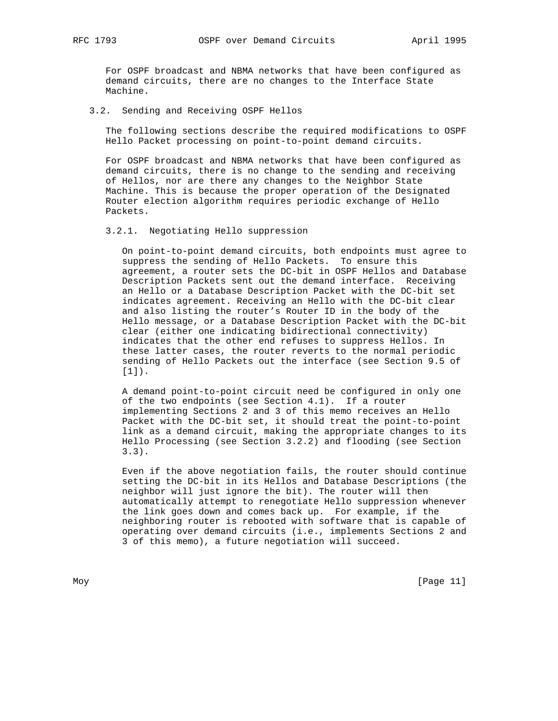For OSPF broadcast and NBMA networks that have been configured as demand circuits, there are no changes to the Interface State Machine.

3.2. Sending and Receiving OSPF Hellos

 The following sections describe the required modifications to OSPF Hello Packet processing on point-to-point demand circuits.

 For OSPF broadcast and NBMA networks that have been configured as demand circuits, there is no change to the sending and receiving of Hellos, nor are there any changes to the Neighbor State Machine. This is because the proper operation of the Designated Router election algorithm requires periodic exchange of Hello Packets.

3.2.1. Negotiating Hello suppression

 On point-to-point demand circuits, both endpoints must agree to suppress the sending of Hello Packets. To ensure this agreement, a router sets the DC-bit in OSPF Hellos and Database Description Packets sent out the demand interface. Receiving an Hello or a Database Description Packet with the DC-bit set indicates agreement. Receiving an Hello with the DC-bit clear and also listing the router's Router ID in the body of the Hello message, or a Database Description Packet with the DC-bit clear (either one indicating bidirectional connectivity) indicates that the other end refuses to suppress Hellos. In these latter cases, the router reverts to the normal periodic sending of Hello Packets out the interface (see Section 9.5 of  $[1]$ ).

 A demand point-to-point circuit need be configured in only one of the two endpoints (see Section 4.1). If a router implementing Sections 2 and 3 of this memo receives an Hello Packet with the DC-bit set, it should treat the point-to-point link as a demand circuit, making the appropriate changes to its Hello Processing (see Section 3.2.2) and flooding (see Section 3.3).

 Even if the above negotiation fails, the router should continue setting the DC-bit in its Hellos and Database Descriptions (the neighbor will just ignore the bit). The router will then automatically attempt to renegotiate Hello suppression whenever the link goes down and comes back up. For example, if the neighboring router is rebooted with software that is capable of operating over demand circuits (i.e., implements Sections 2 and 3 of this memo), a future negotiation will succeed.

Moy [Page 11]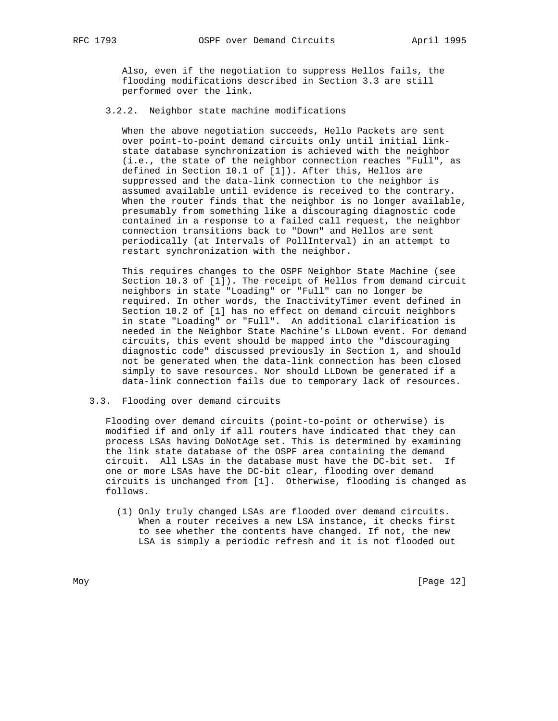Also, even if the negotiation to suppress Hellos fails, the flooding modifications described in Section 3.3 are still performed over the link.

### 3.2.2. Neighbor state machine modifications

 When the above negotiation succeeds, Hello Packets are sent over point-to-point demand circuits only until initial link state database synchronization is achieved with the neighbor (i.e., the state of the neighbor connection reaches "Full", as defined in Section 10.1 of [1]). After this, Hellos are suppressed and the data-link connection to the neighbor is assumed available until evidence is received to the contrary. When the router finds that the neighbor is no longer available, presumably from something like a discouraging diagnostic code contained in a response to a failed call request, the neighbor connection transitions back to "Down" and Hellos are sent periodically (at Intervals of PollInterval) in an attempt to restart synchronization with the neighbor.

 This requires changes to the OSPF Neighbor State Machine (see Section 10.3 of [1]). The receipt of Hellos from demand circuit neighbors in state "Loading" or "Full" can no longer be required. In other words, the InactivityTimer event defined in Section 10.2 of [1] has no effect on demand circuit neighbors in state "Loading" or "Full". An additional clarification is needed in the Neighbor State Machine's LLDown event. For demand circuits, this event should be mapped into the "discouraging diagnostic code" discussed previously in Section 1, and should not be generated when the data-link connection has been closed simply to save resources. Nor should LLDown be generated if a data-link connection fails due to temporary lack of resources.

## 3.3. Flooding over demand circuits

 Flooding over demand circuits (point-to-point or otherwise) is modified if and only if all routers have indicated that they can process LSAs having DoNotAge set. This is determined by examining the link state database of the OSPF area containing the demand circuit. All LSAs in the database must have the DC-bit set. If one or more LSAs have the DC-bit clear, flooding over demand circuits is unchanged from [1]. Otherwise, flooding is changed as follows.

 (1) Only truly changed LSAs are flooded over demand circuits. When a router receives a new LSA instance, it checks first to see whether the contents have changed. If not, the new LSA is simply a periodic refresh and it is not flooded out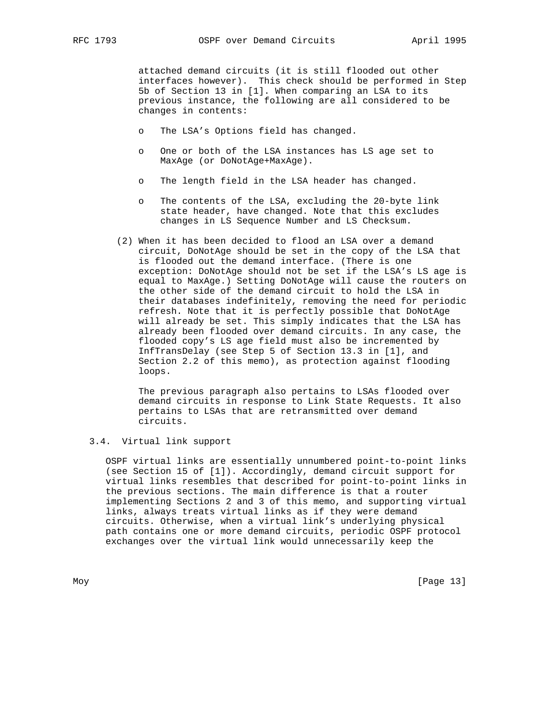attached demand circuits (it is still flooded out other interfaces however). This check should be performed in Step 5b of Section 13 in [1]. When comparing an LSA to its previous instance, the following are all considered to be changes in contents:

- o The LSA's Options field has changed.
- o One or both of the LSA instances has LS age set to MaxAge (or DoNotAge+MaxAge).
- o The length field in the LSA header has changed.
- The contents of the LSA, excluding the 20-byte link state header, have changed. Note that this excludes changes in LS Sequence Number and LS Checksum.
- (2) When it has been decided to flood an LSA over a demand circuit, DoNotAge should be set in the copy of the LSA that is flooded out the demand interface. (There is one exception: DoNotAge should not be set if the LSA's LS age is equal to MaxAge.) Setting DoNotAge will cause the routers on the other side of the demand circuit to hold the LSA in their databases indefinitely, removing the need for periodic refresh. Note that it is perfectly possible that DoNotAge will already be set. This simply indicates that the LSA has already been flooded over demand circuits. In any case, the flooded copy's LS age field must also be incremented by InfTransDelay (see Step 5 of Section 13.3 in [1], and Section 2.2 of this memo), as protection against flooding loops.

 The previous paragraph also pertains to LSAs flooded over demand circuits in response to Link State Requests. It also pertains to LSAs that are retransmitted over demand circuits.

# 3.4. Virtual link support

 OSPF virtual links are essentially unnumbered point-to-point links (see Section 15 of [1]). Accordingly, demand circuit support for virtual links resembles that described for point-to-point links in the previous sections. The main difference is that a router implementing Sections 2 and 3 of this memo, and supporting virtual links, always treats virtual links as if they were demand circuits. Otherwise, when a virtual link's underlying physical path contains one or more demand circuits, periodic OSPF protocol exchanges over the virtual link would unnecessarily keep the

Moy [Page 13]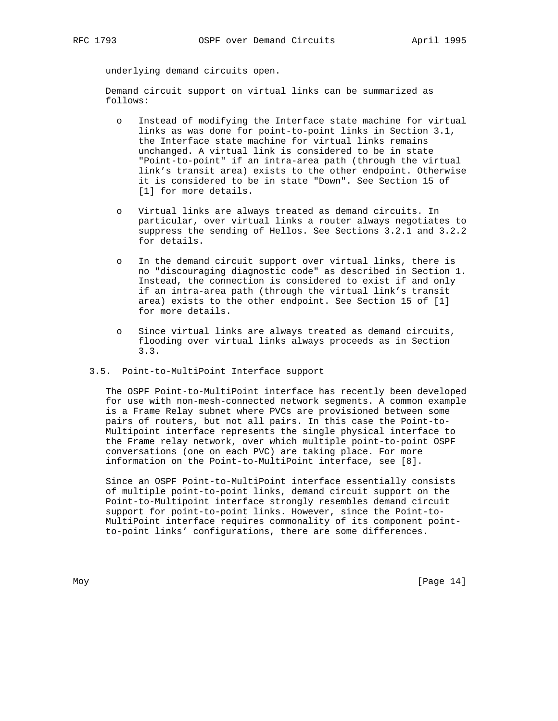underlying demand circuits open.

 Demand circuit support on virtual links can be summarized as follows:

- o Instead of modifying the Interface state machine for virtual links as was done for point-to-point links in Section 3.1, the Interface state machine for virtual links remains unchanged. A virtual link is considered to be in state "Point-to-point" if an intra-area path (through the virtual link's transit area) exists to the other endpoint. Otherwise it is considered to be in state "Down". See Section 15 of [1] for more details.
- o Virtual links are always treated as demand circuits. In particular, over virtual links a router always negotiates to suppress the sending of Hellos. See Sections 3.2.1 and 3.2.2 for details.
- o In the demand circuit support over virtual links, there is no "discouraging diagnostic code" as described in Section 1. Instead, the connection is considered to exist if and only if an intra-area path (through the virtual link's transit area) exists to the other endpoint. See Section 15 of [1] for more details.
- Since virtual links are always treated as demand circuits, flooding over virtual links always proceeds as in Section 3.3.

#### 3.5. Point-to-MultiPoint Interface support

 The OSPF Point-to-MultiPoint interface has recently been developed for use with non-mesh-connected network segments. A common example is a Frame Relay subnet where PVCs are provisioned between some pairs of routers, but not all pairs. In this case the Point-to- Multipoint interface represents the single physical interface to the Frame relay network, over which multiple point-to-point OSPF conversations (one on each PVC) are taking place. For more information on the Point-to-MultiPoint interface, see [8].

 Since an OSPF Point-to-MultiPoint interface essentially consists of multiple point-to-point links, demand circuit support on the Point-to-Multipoint interface strongly resembles demand circuit support for point-to-point links. However, since the Point-to- MultiPoint interface requires commonality of its component point to-point links' configurations, there are some differences.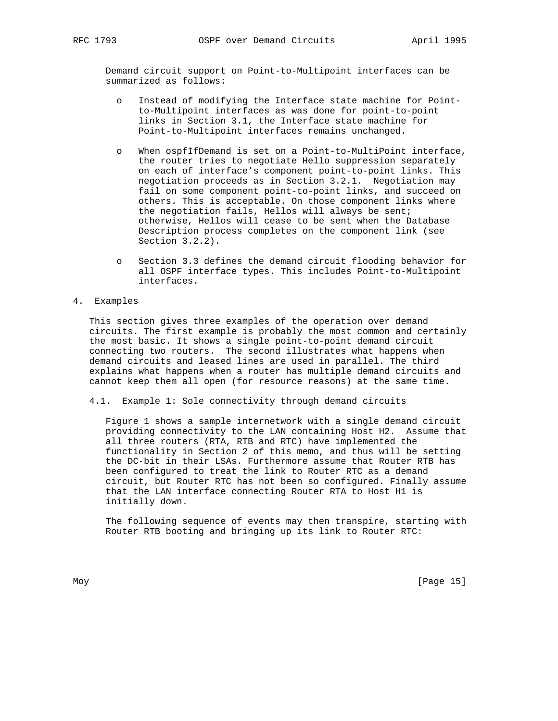Demand circuit support on Point-to-Multipoint interfaces can be summarized as follows:

- o Instead of modifying the Interface state machine for Point to-Multipoint interfaces as was done for point-to-point links in Section 3.1, the Interface state machine for Point-to-Multipoint interfaces remains unchanged.
- o When ospfIfDemand is set on a Point-to-MultiPoint interface, the router tries to negotiate Hello suppression separately on each of interface's component point-to-point links. This negotiation proceeds as in Section 3.2.1. Negotiation may fail on some component point-to-point links, and succeed on others. This is acceptable. On those component links where the negotiation fails, Hellos will always be sent; otherwise, Hellos will cease to be sent when the Database Description process completes on the component link (see Section 3.2.2).
- o Section 3.3 defines the demand circuit flooding behavior for all OSPF interface types. This includes Point-to-Multipoint interfaces.

# 4. Examples

 This section gives three examples of the operation over demand circuits. The first example is probably the most common and certainly the most basic. It shows a single point-to-point demand circuit connecting two routers. The second illustrates what happens when demand circuits and leased lines are used in parallel. The third explains what happens when a router has multiple demand circuits and cannot keep them all open (for resource reasons) at the same time.

# 4.1. Example 1: Sole connectivity through demand circuits

 Figure 1 shows a sample internetwork with a single demand circuit providing connectivity to the LAN containing Host H2. Assume that all three routers (RTA, RTB and RTC) have implemented the functionality in Section 2 of this memo, and thus will be setting the DC-bit in their LSAs. Furthermore assume that Router RTB has been configured to treat the link to Router RTC as a demand circuit, but Router RTC has not been so configured. Finally assume that the LAN interface connecting Router RTA to Host H1 is initially down.

 The following sequence of events may then transpire, starting with Router RTB booting and bringing up its link to Router RTC:

Moy [Page 15]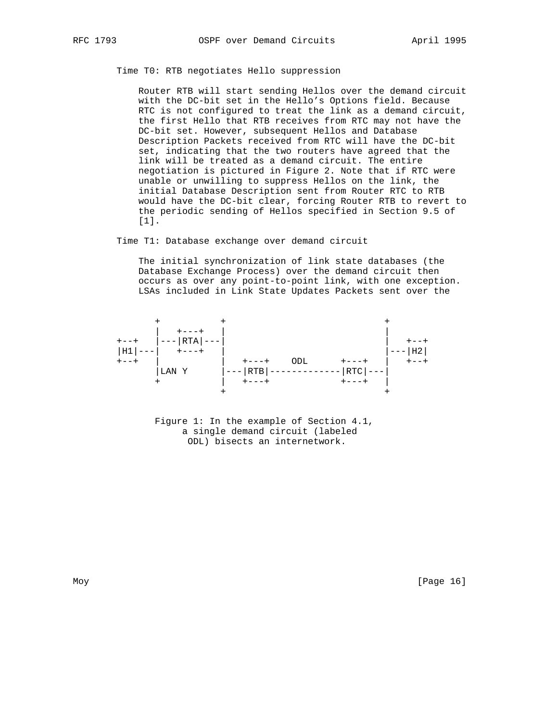### Time T0: RTB negotiates Hello suppression

 Router RTB will start sending Hellos over the demand circuit with the DC-bit set in the Hello's Options field. Because RTC is not configured to treat the link as a demand circuit, the first Hello that RTB receives from RTC may not have the DC-bit set. However, subsequent Hellos and Database Description Packets received from RTC will have the DC-bit set, indicating that the two routers have agreed that the link will be treated as a demand circuit. The entire negotiation is pictured in Figure 2. Note that if RTC were unable or unwilling to suppress Hellos on the link, the initial Database Description sent from Router RTC to RTB would have the DC-bit clear, forcing Router RTB to revert to the periodic sending of Hellos specified in Section 9.5 of [1].

Time T1: Database exchange over demand circuit

 The initial synchronization of link state databases (the Database Exchange Process) over the demand circuit then occurs as over any point-to-point link, with one exception. LSAs included in Link State Updates Packets sent over the



 Figure 1: In the example of Section 4.1, a single demand circuit (labeled ODL) bisects an internetwork.

Moy [Page 16]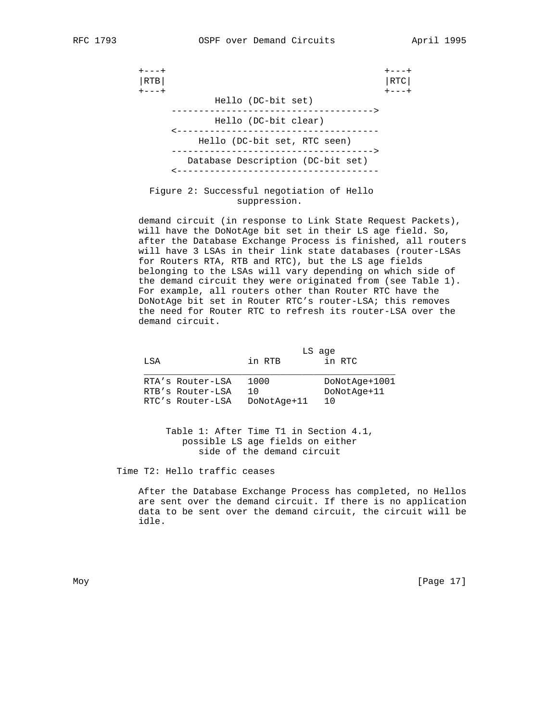+---+ +---+  $|\text{RTB}|$   $|\text{RTC}|$  +---+ +---+ Hello (DC-bit set) -------------------------------------> Hello (DC-bit clear) <------------------------------------- Hello (DC-bit set, RTC seen) -------------------------------------> Database Description (DC-bit set) <------------------------------------- Figure 2: Successful negotiation of Hello

suppression.

 demand circuit (in response to Link State Request Packets), will have the DoNotAge bit set in their LS age field. So, after the Database Exchange Process is finished, all routers will have 3 LSAs in their link state databases (router-LSAs for Routers RTA, RTB and RTC), but the LS age fields belonging to the LSAs will vary depending on which side of the demand circuit they were originated from (see Table 1). For example, all routers other than Router RTC have the DoNotAge bit set in Router RTC's router-LSA; this removes the need for Router RTC to refresh its router-LSA over the demand circuit.

|                  | LS age      |               |  |
|------------------|-------------|---------------|--|
| LSA              | in RTB      | in RTC        |  |
|                  |             |               |  |
| RTA's Router-LSA | 1000        | DoNotAge+1001 |  |
| RTB's Router-LSA | 1 O         | DoNotAge+11   |  |
| RTC's Router-LSA | DoNotAge+11 | 10            |  |

 Table 1: After Time T1 in Section 4.1, possible LS age fields on either side of the demand circuit

Time T2: Hello traffic ceases

 After the Database Exchange Process has completed, no Hellos are sent over the demand circuit. If there is no application data to be sent over the demand circuit, the circuit will be idle.

Moy [Page 17]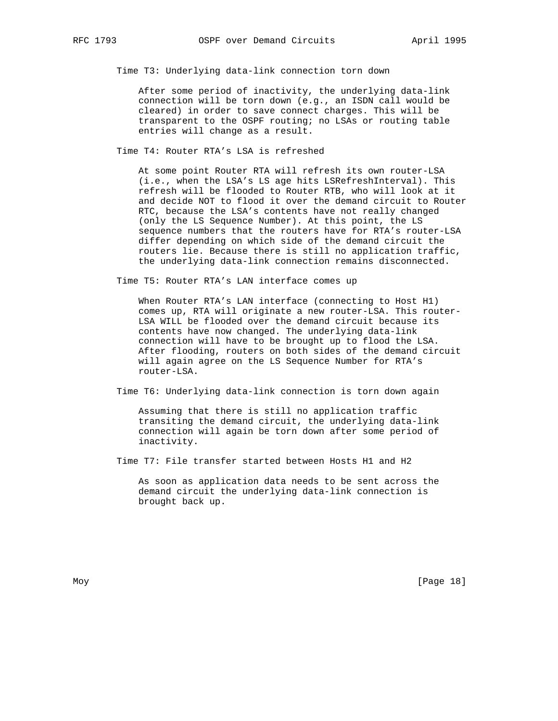Time T3: Underlying data-link connection torn down

 After some period of inactivity, the underlying data-link connection will be torn down (e.g., an ISDN call would be cleared) in order to save connect charges. This will be transparent to the OSPF routing; no LSAs or routing table entries will change as a result.

Time T4: Router RTA's LSA is refreshed

 At some point Router RTA will refresh its own router-LSA (i.e., when the LSA's LS age hits LSRefreshInterval). This refresh will be flooded to Router RTB, who will look at it and decide NOT to flood it over the demand circuit to Router RTC, because the LSA's contents have not really changed (only the LS Sequence Number). At this point, the LS sequence numbers that the routers have for RTA's router-LSA differ depending on which side of the demand circuit the routers lie. Because there is still no application traffic, the underlying data-link connection remains disconnected.

Time T5: Router RTA's LAN interface comes up

 When Router RTA's LAN interface (connecting to Host H1) comes up, RTA will originate a new router-LSA. This router- LSA WILL be flooded over the demand circuit because its contents have now changed. The underlying data-link connection will have to be brought up to flood the LSA. After flooding, routers on both sides of the demand circuit will again agree on the LS Sequence Number for RTA's router-LSA.

Time T6: Underlying data-link connection is torn down again

 Assuming that there is still no application traffic transiting the demand circuit, the underlying data-link connection will again be torn down after some period of inactivity.

Time T7: File transfer started between Hosts H1 and H2

 As soon as application data needs to be sent across the demand circuit the underlying data-link connection is brought back up.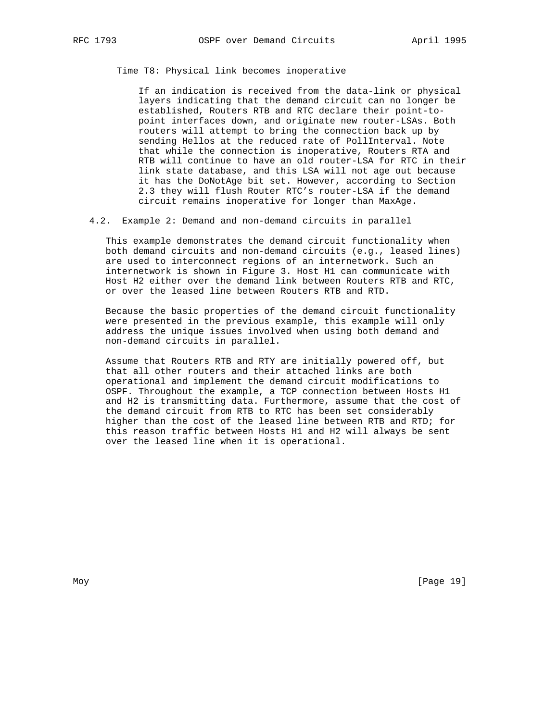Time T8: Physical link becomes inoperative

 If an indication is received from the data-link or physical layers indicating that the demand circuit can no longer be established, Routers RTB and RTC declare their point-to point interfaces down, and originate new router-LSAs. Both routers will attempt to bring the connection back up by sending Hellos at the reduced rate of PollInterval. Note that while the connection is inoperative, Routers RTA and RTB will continue to have an old router-LSA for RTC in their link state database, and this LSA will not age out because it has the DoNotAge bit set. However, according to Section 2.3 they will flush Router RTC's router-LSA if the demand circuit remains inoperative for longer than MaxAge.

4.2. Example 2: Demand and non-demand circuits in parallel

 This example demonstrates the demand circuit functionality when both demand circuits and non-demand circuits (e.g., leased lines) are used to interconnect regions of an internetwork. Such an internetwork is shown in Figure 3. Host H1 can communicate with Host H2 either over the demand link between Routers RTB and RTC, or over the leased line between Routers RTB and RTD.

 Because the basic properties of the demand circuit functionality were presented in the previous example, this example will only address the unique issues involved when using both demand and non-demand circuits in parallel.

 Assume that Routers RTB and RTY are initially powered off, but that all other routers and their attached links are both operational and implement the demand circuit modifications to OSPF. Throughout the example, a TCP connection between Hosts H1 and H2 is transmitting data. Furthermore, assume that the cost of the demand circuit from RTB to RTC has been set considerably higher than the cost of the leased line between RTB and RTD; for this reason traffic between Hosts H1 and H2 will always be sent over the leased line when it is operational.

Moy [Page 19]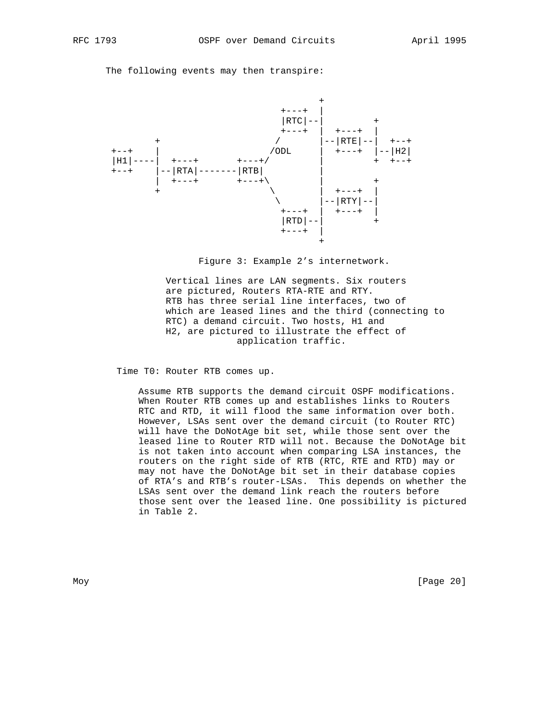The following events may then transpire:



Figure 3: Example 2's internetwork.

 Vertical lines are LAN segments. Six routers are pictured, Routers RTA-RTE and RTY. RTB has three serial line interfaces, two of which are leased lines and the third (connecting to RTC) a demand circuit. Two hosts, H1 and H2, are pictured to illustrate the effect of application traffic.

Time T0: Router RTB comes up.

 Assume RTB supports the demand circuit OSPF modifications. When Router RTB comes up and establishes links to Routers RTC and RTD, it will flood the same information over both. However, LSAs sent over the demand circuit (to Router RTC) will have the DoNotAge bit set, while those sent over the leased line to Router RTD will not. Because the DoNotAge bit is not taken into account when comparing LSA instances, the routers on the right side of RTB (RTC, RTE and RTD) may or may not have the DoNotAge bit set in their database copies of RTA's and RTB's router-LSAs. This depends on whether the LSAs sent over the demand link reach the routers before those sent over the leased line. One possibility is pictured in Table 2.

Moy [Page 20]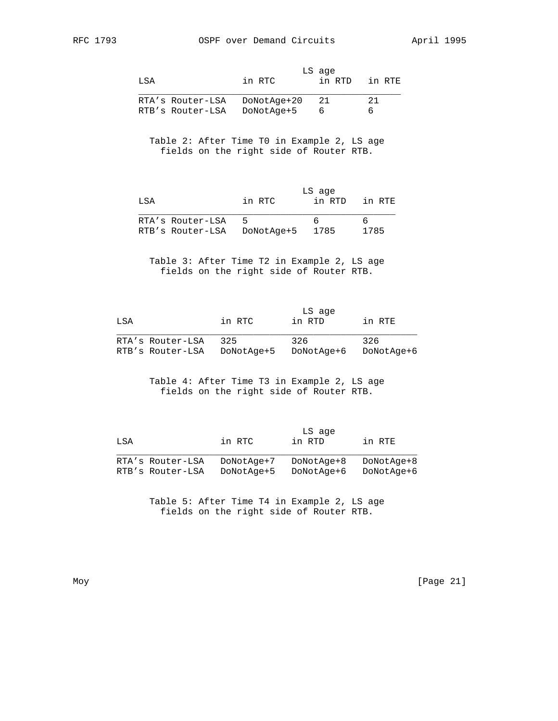|                  | LS age      |        |        |
|------------------|-------------|--------|--------|
| LSA              | in RTC      | in RTD | in RTE |
|                  |             |        |        |
| RTA's Router-LSA | DoNotAge+20 | -21    |        |
| RTB's Router-LSA | DoNotAge+5  |        | h      |

 Table 2: After Time T0 in Example 2, LS age fields on the right side of Router RTB.

|                  | LS age     |        |        |  |
|------------------|------------|--------|--------|--|
| LSA              | in RTC     | in RTD | in RTE |  |
|                  |            |        |        |  |
| RTA's Router-LSA | -5         | h      |        |  |
| RTB's Router-LSA | DoNotAge+5 | 1785   | 1785   |  |

 Table 3: After Time T2 in Example 2, LS age fields on the right side of Router RTB.

|                  |            | LS age     |            |  |  |
|------------------|------------|------------|------------|--|--|
| LSA              | in RTC     | in RTD     | in RTE     |  |  |
|                  |            |            |            |  |  |
| RTA's Router-LSA | 325        | 326        | 326        |  |  |
| RTB's Router-LSA | DoNotAge+5 | DoNotAge+6 | DoNotAge+6 |  |  |

 Table 4: After Time T3 in Example 2, LS age fields on the right side of Router RTB.

| LSA              | in RTC     | LS age<br>in RTD | in RTE     |
|------------------|------------|------------------|------------|
| RTA's Router-LSA | DoNotAge+7 | DoNotAge+8       | DoNotAge+8 |
| RTB's Router-LSA | DoNotAge+5 | DoNotAge+6       | DoNotAge+6 |

 Table 5: After Time T4 in Example 2, LS age fields on the right side of Router RTB.

Moy [Page 21]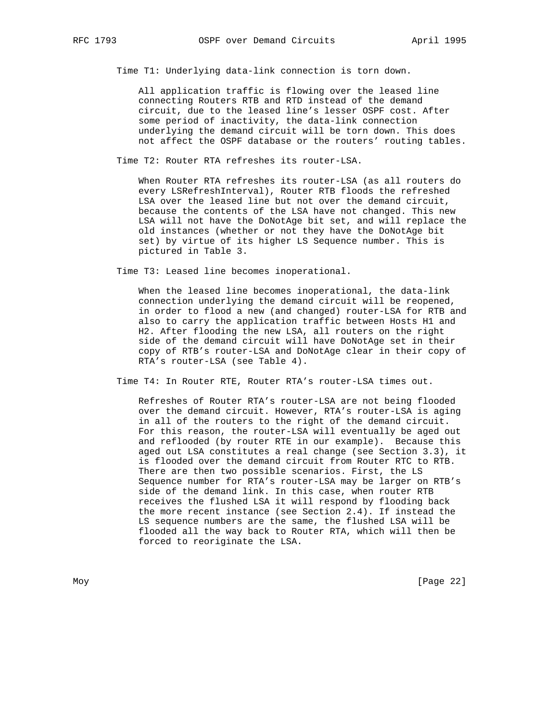Time T1: Underlying data-link connection is torn down.

 All application traffic is flowing over the leased line connecting Routers RTB and RTD instead of the demand circuit, due to the leased line's lesser OSPF cost. After some period of inactivity, the data-link connection underlying the demand circuit will be torn down. This does not affect the OSPF database or the routers' routing tables.

Time T2: Router RTA refreshes its router-LSA.

 When Router RTA refreshes its router-LSA (as all routers do every LSRefreshInterval), Router RTB floods the refreshed LSA over the leased line but not over the demand circuit, because the contents of the LSA have not changed. This new LSA will not have the DoNotAge bit set, and will replace the old instances (whether or not they have the DoNotAge bit set) by virtue of its higher LS Sequence number. This is pictured in Table 3.

Time T3: Leased line becomes inoperational.

 When the leased line becomes inoperational, the data-link connection underlying the demand circuit will be reopened, in order to flood a new (and changed) router-LSA for RTB and also to carry the application traffic between Hosts H1 and H2. After flooding the new LSA, all routers on the right side of the demand circuit will have DoNotAge set in their copy of RTB's router-LSA and DoNotAge clear in their copy of RTA's router-LSA (see Table 4).

Time T4: In Router RTE, Router RTA's router-LSA times out.

 Refreshes of Router RTA's router-LSA are not being flooded over the demand circuit. However, RTA's router-LSA is aging in all of the routers to the right of the demand circuit. For this reason, the router-LSA will eventually be aged out and reflooded (by router RTE in our example). Because this aged out LSA constitutes a real change (see Section 3.3), it is flooded over the demand circuit from Router RTC to RTB. There are then two possible scenarios. First, the LS Sequence number for RTA's router-LSA may be larger on RTB's side of the demand link. In this case, when router RTB receives the flushed LSA it will respond by flooding back the more recent instance (see Section 2.4). If instead the LS sequence numbers are the same, the flushed LSA will be flooded all the way back to Router RTA, which will then be forced to reoriginate the LSA.

Moy [Page 22]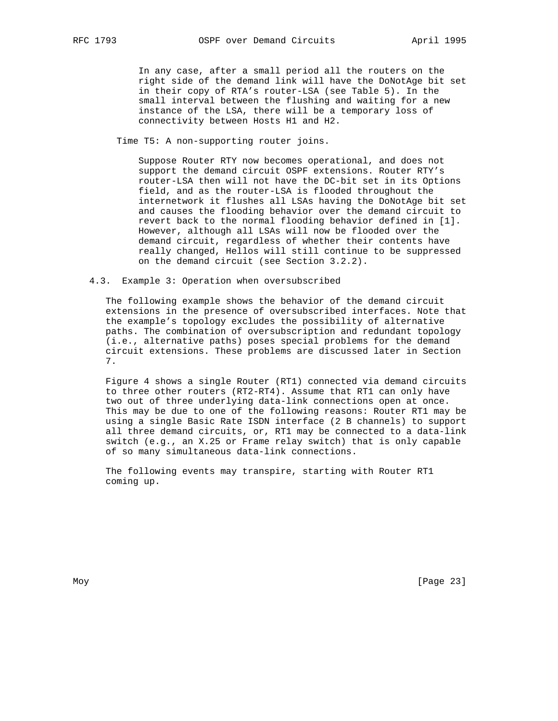In any case, after a small period all the routers on the right side of the demand link will have the DoNotAge bit set in their copy of RTA's router-LSA (see Table 5). In the small interval between the flushing and waiting for a new instance of the LSA, there will be a temporary loss of connectivity between Hosts H1 and H2.

Time T5: A non-supporting router joins.

 Suppose Router RTY now becomes operational, and does not support the demand circuit OSPF extensions. Router RTY's router-LSA then will not have the DC-bit set in its Options field, and as the router-LSA is flooded throughout the internetwork it flushes all LSAs having the DoNotAge bit set and causes the flooding behavior over the demand circuit to revert back to the normal flooding behavior defined in [1]. However, although all LSAs will now be flooded over the demand circuit, regardless of whether their contents have really changed, Hellos will still continue to be suppressed on the demand circuit (see Section 3.2.2).

## 4.3. Example 3: Operation when oversubscribed

 The following example shows the behavior of the demand circuit extensions in the presence of oversubscribed interfaces. Note that the example's topology excludes the possibility of alternative paths. The combination of oversubscription and redundant topology (i.e., alternative paths) poses special problems for the demand circuit extensions. These problems are discussed later in Section 7.

 Figure 4 shows a single Router (RT1) connected via demand circuits to three other routers (RT2-RT4). Assume that RT1 can only have two out of three underlying data-link connections open at once. This may be due to one of the following reasons: Router RT1 may be using a single Basic Rate ISDN interface (2 B channels) to support all three demand circuits, or, RT1 may be connected to a data-link switch (e.g., an X.25 or Frame relay switch) that is only capable of so many simultaneous data-link connections.

 The following events may transpire, starting with Router RT1 coming up.

Moy [Page 23]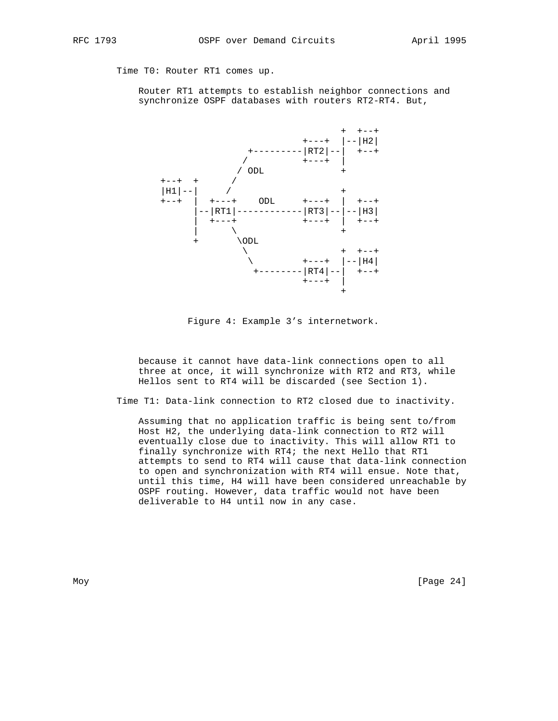Time T0: Router RT1 comes up.

 Router RT1 attempts to establish neighbor connections and synchronize OSPF databases with routers RT2-RT4. But,



Figure 4: Example 3's internetwork.

 because it cannot have data-link connections open to all three at once, it will synchronize with RT2 and RT3, while Hellos sent to RT4 will be discarded (see Section 1).

Time T1: Data-link connection to RT2 closed due to inactivity.

 Assuming that no application traffic is being sent to/from Host H2, the underlying data-link connection to RT2 will eventually close due to inactivity. This will allow RT1 to finally synchronize with RT4; the next Hello that RT1 attempts to send to RT4 will cause that data-link connection to open and synchronization with RT4 will ensue. Note that, until this time, H4 will have been considered unreachable by OSPF routing. However, data traffic would not have been deliverable to H4 until now in any case.

Moy [Page 24]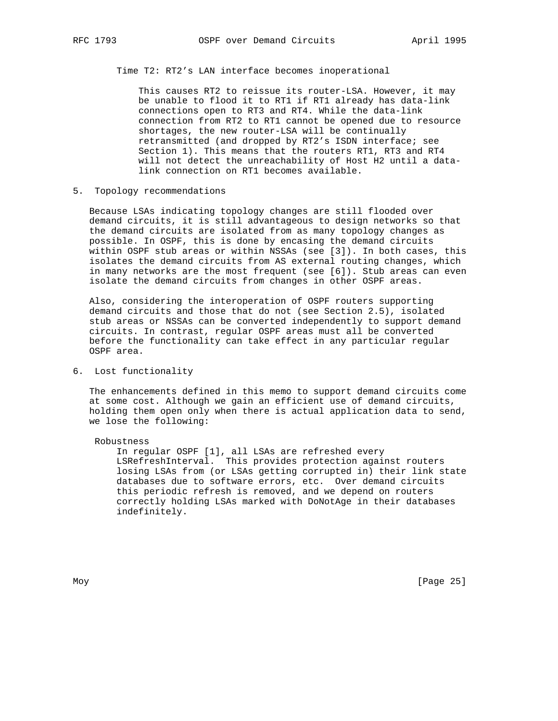Time T2: RT2's LAN interface becomes inoperational

 This causes RT2 to reissue its router-LSA. However, it may be unable to flood it to RT1 if RT1 already has data-link connections open to RT3 and RT4. While the data-link connection from RT2 to RT1 cannot be opened due to resource shortages, the new router-LSA will be continually retransmitted (and dropped by RT2's ISDN interface; see Section 1). This means that the routers RT1, RT3 and RT4 will not detect the unreachability of Host H2 until a data link connection on RT1 becomes available.

5. Topology recommendations

 Because LSAs indicating topology changes are still flooded over demand circuits, it is still advantageous to design networks so that the demand circuits are isolated from as many topology changes as possible. In OSPF, this is done by encasing the demand circuits within OSPF stub areas or within NSSAs (see [3]). In both cases, this isolates the demand circuits from AS external routing changes, which in many networks are the most frequent (see [6]). Stub areas can even isolate the demand circuits from changes in other OSPF areas.

 Also, considering the interoperation of OSPF routers supporting demand circuits and those that do not (see Section 2.5), isolated stub areas or NSSAs can be converted independently to support demand circuits. In contrast, regular OSPF areas must all be converted before the functionality can take effect in any particular regular OSPF area.

6. Lost functionality

 The enhancements defined in this memo to support demand circuits come at some cost. Although we gain an efficient use of demand circuits, holding them open only when there is actual application data to send, we lose the following:

Robustness

 In regular OSPF [1], all LSAs are refreshed every LSRefreshInterval. This provides protection against routers losing LSAs from (or LSAs getting corrupted in) their link state databases due to software errors, etc. Over demand circuits this periodic refresh is removed, and we depend on routers correctly holding LSAs marked with DoNotAge in their databases indefinitely.

Moy [Page 25]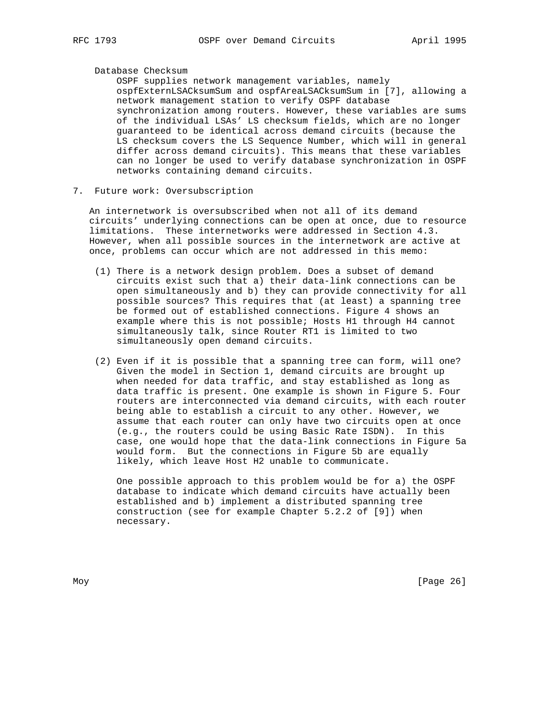### Database Checksum

 OSPF supplies network management variables, namely ospfExternLSACksumSum and ospfAreaLSACksumSum in [7], allowing a network management station to verify OSPF database synchronization among routers. However, these variables are sums of the individual LSAs' LS checksum fields, which are no longer guaranteed to be identical across demand circuits (because the LS checksum covers the LS Sequence Number, which will in general differ across demand circuits). This means that these variables can no longer be used to verify database synchronization in OSPF networks containing demand circuits.

7. Future work: Oversubscription

 An internetwork is oversubscribed when not all of its demand circuits' underlying connections can be open at once, due to resource limitations. These internetworks were addressed in Section 4.3. However, when all possible sources in the internetwork are active at once, problems can occur which are not addressed in this memo:

- (1) There is a network design problem. Does a subset of demand circuits exist such that a) their data-link connections can be open simultaneously and b) they can provide connectivity for all possible sources? This requires that (at least) a spanning tree be formed out of established connections. Figure 4 shows an example where this is not possible; Hosts H1 through H4 cannot simultaneously talk, since Router RT1 is limited to two simultaneously open demand circuits.
- (2) Even if it is possible that a spanning tree can form, will one? Given the model in Section 1, demand circuits are brought up when needed for data traffic, and stay established as long as data traffic is present. One example is shown in Figure 5. Four routers are interconnected via demand circuits, with each router being able to establish a circuit to any other. However, we assume that each router can only have two circuits open at once (e.g., the routers could be using Basic Rate ISDN). In this case, one would hope that the data-link connections in Figure 5a would form. But the connections in Figure 5b are equally likely, which leave Host H2 unable to communicate.

 One possible approach to this problem would be for a) the OSPF database to indicate which demand circuits have actually been established and b) implement a distributed spanning tree construction (see for example Chapter 5.2.2 of [9]) when necessary.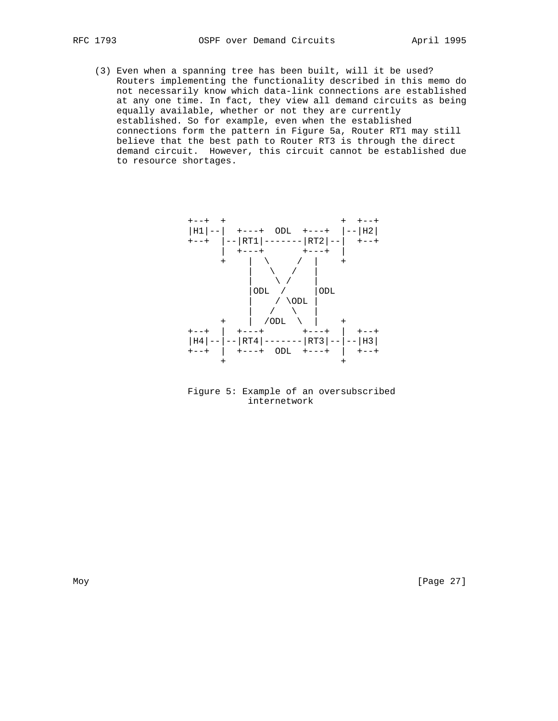(3) Even when a spanning tree has been built, will it be used? Routers implementing the functionality described in this memo do not necessarily know which data-link connections are established at any one time. In fact, they view all demand circuits as being equally available, whether or not they are currently established. So for example, even when the established connections form the pattern in Figure 5a, Router RT1 may still believe that the best path to Router RT3 is through the direct demand circuit. However, this circuit cannot be established due to resource shortages.



 Figure 5: Example of an oversubscribed internetwork

Moy [Page 27]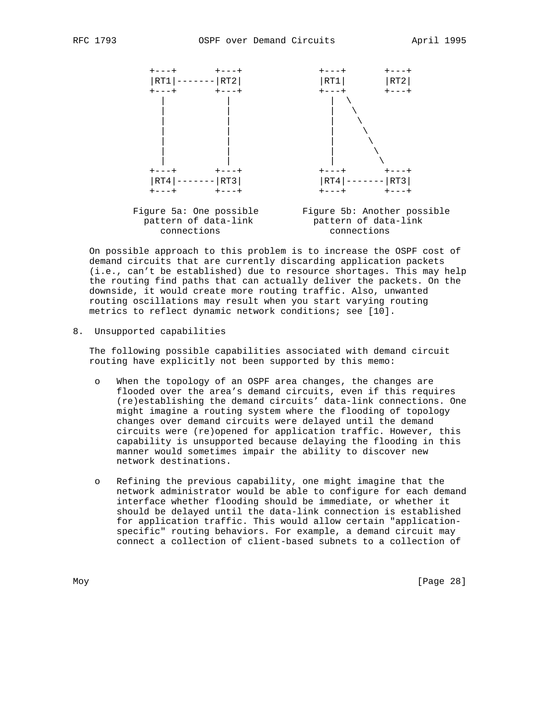



 On possible approach to this problem is to increase the OSPF cost of demand circuits that are currently discarding application packets (i.e., can't be established) due to resource shortages. This may help the routing find paths that can actually deliver the packets. On the downside, it would create more routing traffic. Also, unwanted routing oscillations may result when you start varying routing metrics to reflect dynamic network conditions; see [10].

8. Unsupported capabilities

 The following possible capabilities associated with demand circuit routing have explicitly not been supported by this memo:

- o When the topology of an OSPF area changes, the changes are flooded over the area's demand circuits, even if this requires (re)establishing the demand circuits' data-link connections. One might imagine a routing system where the flooding of topology changes over demand circuits were delayed until the demand circuits were (re)opened for application traffic. However, this capability is unsupported because delaying the flooding in this manner would sometimes impair the ability to discover new network destinations.
- o Refining the previous capability, one might imagine that the network administrator would be able to configure for each demand interface whether flooding should be immediate, or whether it should be delayed until the data-link connection is established for application traffic. This would allow certain "application specific" routing behaviors. For example, a demand circuit may connect a collection of client-based subnets to a collection of

Moy [Page 28]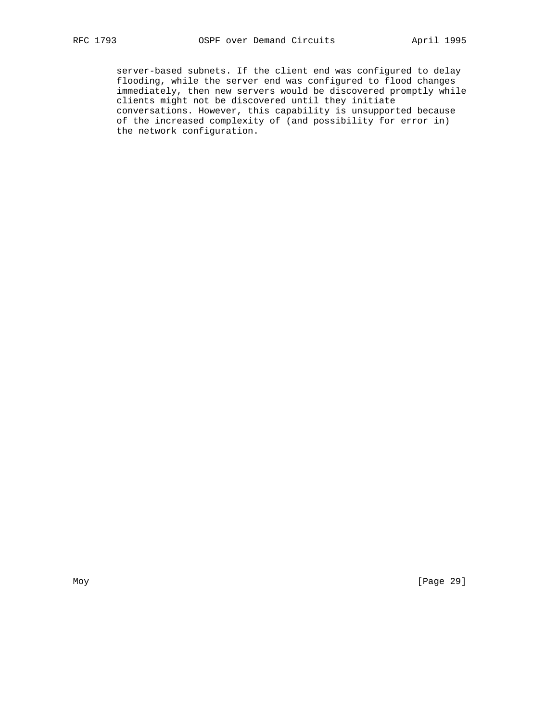server-based subnets. If the client end was configured to delay flooding, while the server end was configured to flood changes immediately, then new servers would be discovered promptly while clients might not be discovered until they initiate conversations. However, this capability is unsupported because of the increased complexity of (and possibility for error in) the network configuration.

Moy [Page 29]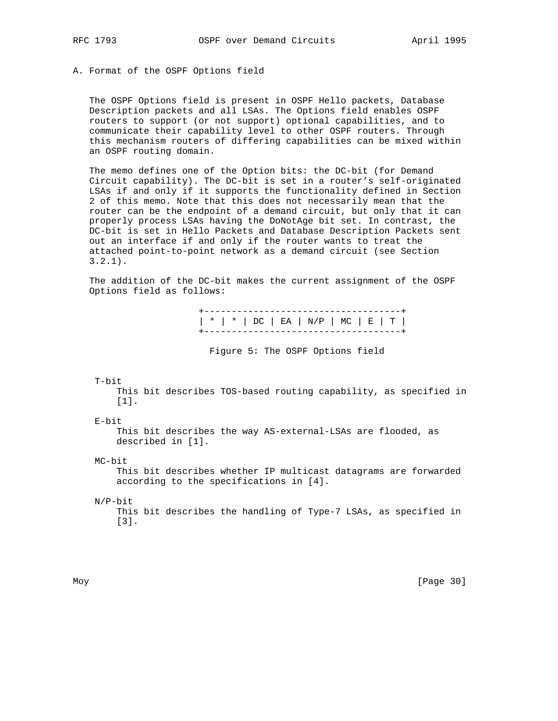# A. Format of the OSPF Options field

 The OSPF Options field is present in OSPF Hello packets, Database Description packets and all LSAs. The Options field enables OSPF routers to support (or not support) optional capabilities, and to communicate their capability level to other OSPF routers. Through this mechanism routers of differing capabilities can be mixed within an OSPF routing domain.

 The memo defines one of the Option bits: the DC-bit (for Demand Circuit capability). The DC-bit is set in a router's self-originated LSAs if and only if it supports the functionality defined in Section 2 of this memo. Note that this does not necessarily mean that the router can be the endpoint of a demand circuit, but only that it can properly process LSAs having the DoNotAge bit set. In contrast, the DC-bit is set in Hello Packets and Database Description Packets sent out an interface if and only if the router wants to treat the attached point-to-point network as a demand circuit (see Section 3.2.1).

 The addition of the DC-bit makes the current assignment of the OSPF Options field as follows:

 +------------------------------------+ | \* | \* | DC | EA | N/P | MC | E | T | +------------------------------------+

Figure 5: The OSPF Options field

#### T-bit

 This bit describes TOS-based routing capability, as specified in [1].

#### $E - b$ it

 This bit describes the way AS-external-LSAs are flooded, as described in [1].

### MC-bit

 This bit describes whether IP multicast datagrams are forwarded according to the specifications in [4].

#### N/P-bit

 This bit describes the handling of Type-7 LSAs, as specified in [3].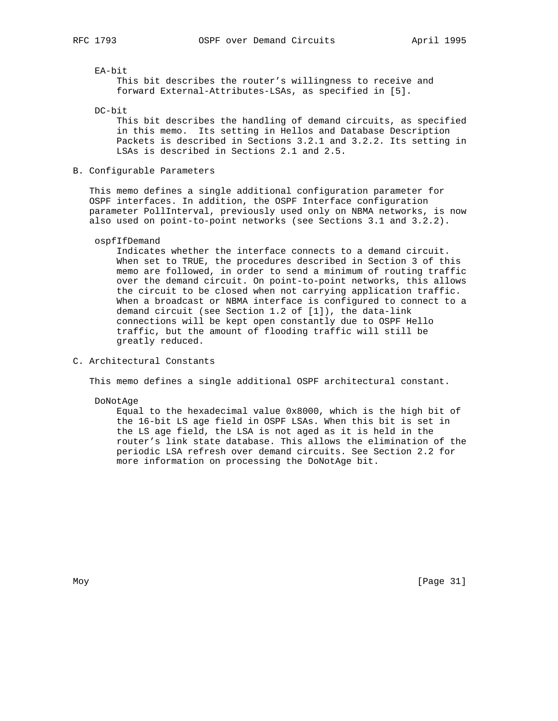EA-bit

 This bit describes the router's willingness to receive and forward External-Attributes-LSAs, as specified in [5].

DC-bit

 This bit describes the handling of demand circuits, as specified in this memo. Its setting in Hellos and Database Description Packets is described in Sections 3.2.1 and 3.2.2. Its setting in LSAs is described in Sections 2.1 and 2.5.

B. Configurable Parameters

 This memo defines a single additional configuration parameter for OSPF interfaces. In addition, the OSPF Interface configuration parameter PollInterval, previously used only on NBMA networks, is now also used on point-to-point networks (see Sections 3.1 and 3.2.2).

ospfIfDemand

 Indicates whether the interface connects to a demand circuit. When set to TRUE, the procedures described in Section 3 of this memo are followed, in order to send a minimum of routing traffic over the demand circuit. On point-to-point networks, this allows the circuit to be closed when not carrying application traffic. When a broadcast or NBMA interface is configured to connect to a demand circuit (see Section 1.2 of [1]), the data-link connections will be kept open constantly due to OSPF Hello traffic, but the amount of flooding traffic will still be greatly reduced.

C. Architectural Constants

This memo defines a single additional OSPF architectural constant.

DoNotAge

 Equal to the hexadecimal value 0x8000, which is the high bit of the 16-bit LS age field in OSPF LSAs. When this bit is set in the LS age field, the LSA is not aged as it is held in the router's link state database. This allows the elimination of the periodic LSA refresh over demand circuits. See Section 2.2 for more information on processing the DoNotAge bit.